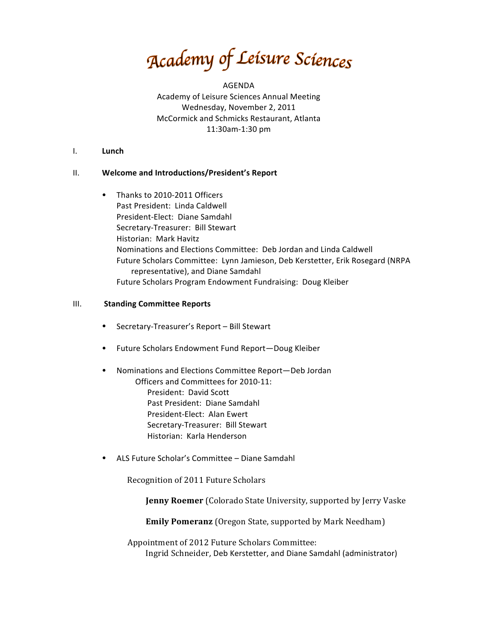Academy of Leisure Sciences

AGENDA Academy of Leisure Sciences Annual Meeting Wednesday, November 2, 2011 McCormick and Schmicks Restaurant, Atlanta 11:30am-1:30 pm

#### I. **Lunch**

### II. Welcome and Introductions/President's Report

• Thanks to 2010-2011 Officers Past President: Linda Caldwell President-Elect: Diane Samdahl Secretary-Treasurer: Bill Stewart Historian: Mark Havitz Nominations and Elections Committee: Deb Jordan and Linda Caldwell Future Scholars Committee: Lynn Jamieson, Deb Kerstetter, Erik Rosegard (NRPA) representative), and Diane Samdahl Future Scholars Program Endowment Fundraising: Doug Kleiber

### **III.** Standing Committee Reports

- Secretary-Treasurer's Report Bill Stewart
- Future Scholars Endowment Fund Report-Doug Kleiber
- Nominations and Elections Committee Report—Deb Jordan Officers and Committees for 2010-11: President: David Scott Past President: Diane Samdahl President-Elect: Alan Ewert Secretary-Treasurer: Bill Stewart Historian: Karla Henderson
- ALS Future Scholar's Committee Diane Samdahl

Recognition of 2011 Future Scholars

**Jenny Roemer** (Colorado State University, supported by Jerry Vaske

**Emily Pomeranz** (Oregon State, supported by Mark Needham)

Appointment of 2012 Future Scholars Committee: Ingrid Schneider, Deb Kerstetter, and Diane Samdahl (administrator)